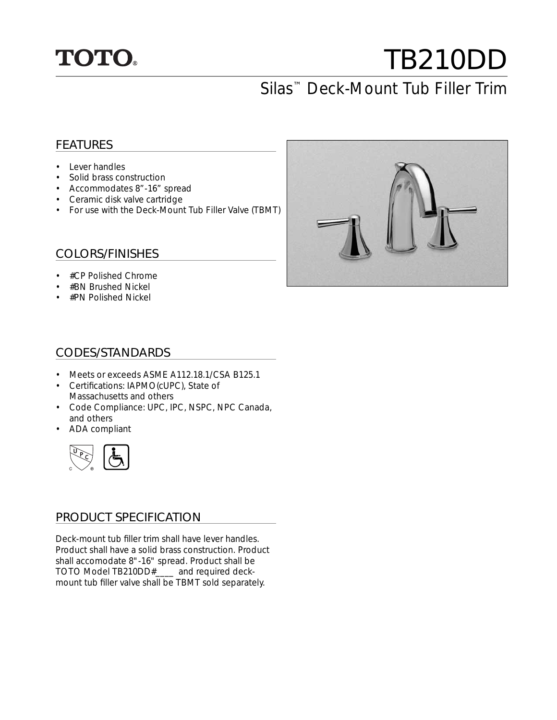

# TB210DD Silas™ Deck-Mount Tub Filler Trim

### FEATURES

- Lever handles
- Solid brass construction
- Accommodates 8"-16" spread
- Ceramic disk valve cartridge
- For use with the Deck-Mount Tub Filler Valve (TBMT)

#### COLORS/FINISHES

- #CP Polished Chrome
- #BN Brushed Nickel
- #PN Polished Nickel



#### CODES/STANDARDS

- Meets or exceeds ASME A112.18.1/CSA B125.1
- Certifications: IAPMO(cUPC), State of Massachusetts and others
- Code Compliance: UPC, IPC, NSPC, NPC Canada, and others
- ADA compliant



#### PRODUCT SPECIFICATION

Deck-mount tub filler trim shall have lever handles. Product shall have a solid brass construction. Product shall accomodate 8"-16" spread. Product shall be TOTO Model TB210DD#\_\_\_\_ and required deckmount tub filler valve shall be TBMT sold separately.